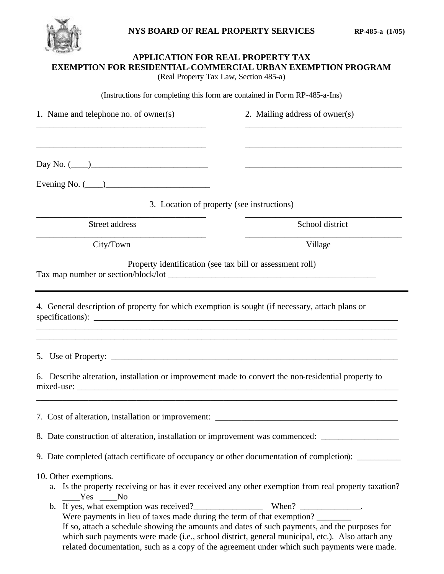

## **APPLICATION FOR REAL PROPERTY TAX EXEMPTION FOR RESIDENTIAL-COMMERCIAL URBAN EXEMPTION PROGRAM** (Real Property Tax Law, Section 485-a) (Instructions for completing this form are contained in Form RP-485-a-Ins) 1. Name and telephone no. of owner(s) 2. Mailing address of owner(s) \_\_\_\_\_\_\_\_\_\_\_\_\_\_\_\_\_\_\_\_\_\_\_\_\_\_\_\_\_\_\_\_\_\_\_\_\_\_\_ \_\_\_\_\_\_\_\_\_\_\_\_\_\_\_\_\_\_\_\_\_\_\_\_\_\_\_\_\_\_\_\_\_\_\_\_ \_\_\_\_\_\_\_\_\_\_\_\_\_\_\_\_\_\_\_\_\_\_\_\_\_\_\_\_\_\_\_\_\_\_\_\_\_\_\_ \_\_\_\_\_\_\_\_\_\_\_\_\_\_\_\_\_\_\_\_\_\_\_\_\_\_\_\_\_\_\_\_\_\_\_\_  $Day No. ($ Evening No.  $($ 3. Location of property (see instructions) \_\_\_\_\_\_\_\_\_\_\_\_\_\_\_\_\_\_\_\_\_\_\_\_\_\_\_\_\_\_\_\_\_\_\_\_\_\_\_ \_\_\_\_\_\_\_\_\_\_\_\_\_\_\_\_\_\_\_\_\_\_\_\_\_\_\_\_\_\_\_\_\_\_\_\_ Street address School district \_\_\_\_\_\_\_\_\_\_\_\_\_\_\_\_\_\_\_\_\_\_\_\_\_\_\_\_\_\_\_\_\_\_\_\_\_\_\_ \_\_\_\_\_\_\_\_\_\_\_\_\_\_\_\_\_\_\_\_\_\_\_\_\_\_\_\_\_\_\_\_\_\_\_\_ City/Town Village Property identification (see tax bill or assessment roll) Tax map number or section/block/lot \_\_\_\_\_\_\_\_\_\_\_\_\_\_\_\_\_\_\_\_\_\_\_\_\_\_\_\_\_\_\_\_\_\_\_\_\_\_\_\_\_\_\_\_\_\_\_\_ 4. General description of property for which exemption is sought (if necessary, attach plans or specifications): \_\_\_\_\_\_\_\_\_\_\_\_\_\_\_\_\_\_\_\_\_\_\_\_\_\_\_\_\_\_\_\_\_\_\_\_\_\_\_\_\_\_\_\_\_\_\_\_\_\_\_\_\_\_\_\_\_\_\_\_\_\_\_\_\_\_\_\_\_\_\_\_\_\_\_\_\_\_\_\_\_\_\_ \_\_\_\_\_\_\_\_\_\_\_\_\_\_\_\_\_\_\_\_\_\_\_\_\_\_\_\_\_\_\_\_\_\_\_\_\_\_\_\_\_\_\_\_\_\_\_\_\_\_\_\_\_\_\_\_\_\_\_\_\_\_\_\_\_\_\_\_\_\_\_\_\_\_\_\_\_\_\_\_\_\_\_ 5. Use of Property: \_\_\_\_\_\_\_\_\_\_\_\_\_\_\_\_\_\_\_\_\_\_\_\_\_\_\_\_\_\_\_\_\_\_\_\_\_\_\_\_\_\_\_\_\_\_\_\_\_\_\_\_\_\_\_\_\_\_\_\_\_\_\_\_\_\_ 6. Describe alteration, installation or improvement made to convert the non-residential property to mixed-use:  $\Box$ \_\_\_\_\_\_\_\_\_\_\_\_\_\_\_\_\_\_\_\_\_\_\_\_\_\_\_\_\_\_\_\_\_\_\_\_\_\_\_\_\_\_\_\_\_\_\_\_\_\_\_\_\_\_\_\_\_\_\_\_\_\_\_\_\_\_\_\_\_\_\_\_\_\_\_\_\_\_\_\_\_\_\_ 7. Cost of alteration, installation or improvement: \_\_\_\_\_\_\_\_\_\_\_\_\_\_\_\_\_\_\_\_\_\_\_\_\_\_\_\_\_\_\_\_\_\_\_\_\_\_\_\_\_\_ 8. Date construction of alteration, installation or improvement was commenced: \_\_\_\_\_\_\_\_\_\_\_\_\_\_\_\_\_\_\_\_\_ 9. Date completed (attach certificate of occupancy or other documentation of completion): \_\_\_\_\_\_\_\_\_ 10. Other exemptions. a. Is the property receiving or has it ever received any other exemption from real property taxation? Yes No b. If yes, what exemption was received? $\blacksquare$  When?  $\blacksquare$

Were payments in lieu of taxes made during the term of that exemption? If so, attach a schedule showing the amounts and dates of such payments, and the purposes for which such payments were made (i.e., school district, general municipal, etc.). Also attach any related documentation, such as a copy of the agreement under which such payments were made.